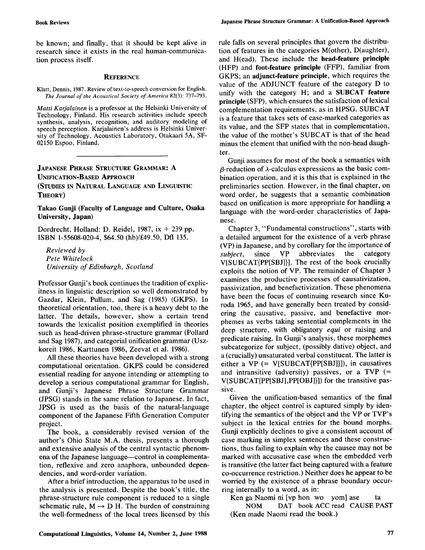be known; and finally, that it should be kept alive in research since it exists in the real human-communication process itself.

## **REFERENCE**

Klatt, Dennis, 1987. Review of text-to-speech conversion for English. *The Journal of the Acoustical Society of America* 82(3): 737-793.

*Matti Karjalainen* is a professor at the Helsinki University of Technology, Finland. His research activities include speech synthesis, analysis, recognition, and auditory modeling of speech perception. Karjalainen's address is Helsinki University of Technology, Acoustics Laboratory, Otakaari 5A, SF-02150 Espoo, Finland.

## **JAPANESE PHRASE STRUCTURE GRAMMAR: A UNIFICATION-BASED APPROACH (STUDIES IN NATURAL LANGUAGE AND LINGUISTIC THEORY)**

**Takao Gunji (Faculty of Language and Culture, Osaka University, Japan)** 

Dordrecht, Holland: D. Reidel, 1987, ix + 239 pp. ISBN 1-55608-020-4, \$64.50 (hb)/£49.50, Dfl 135.

*Reviewed by Pete Whitelock University of Edinburgh, Scotland* 

Professor Gunji's book continues the tradition of explicitness in linguistic description so well demonstrated by Gazdar, Klein, Pullum, and Sag (1985) (GKPS). In theoretical orientation, too, there is a heavy debt to the latter. The details, however, show a certain trend towards the lexicalist position exemplified in theories such as head-driven phrase-structure grammar (Pollard and Sag 1987), and categorial unification grammar (Uszkoreit 1986, Karttunen 1986, Zeevat et al. 1986).

All these theories have been developed with a strong computational orientation. GKPS could be considered essential reading for anyone intending or attempting to develop a serious computational grammar for English, and Gunji's Japanese Phrase Structure Grammar (JPSG) stands in the same relation to Japanese. In fact, JPSG is used as the basis of the natural-language component of the Japanese Fifth Generation Computer project.

The book, a considerably revised version of the author's Ohio State M.A. thesis, presents a thorough and extensive analysis of the central syntactic phenomena of the Japanese language--control in complementation, reflexive and zero anaphora, unbounded dependencies, and word-order variation.

After a brief introduction, the apparatus to be used in the analysis is presented. Despite the book's title, the phrase-structure rule component is reduced to a single schematic rule,  $M \rightarrow D H$ . The burden of constraining the weU-formedness of the local trees licensed by this rule falls on several principles that govern the distribution of features in the categories M(other), D(aughter), and H(ead). These include the **head-feature principle**  (HFP) and **foot-feature principle** (FFP), familiar from GKPS; an **adjunct-feature principle,** which requires the value of the ADJUNCT feature of the category D to unify with the category H; and a **SUBCAT feature principle** (SFP), which ensures the satisfaction of lexical complementation requirements, as in HPSG. SUBCAT is a feature that takes sets of case-marked categories as its value, and the SFP states that in complementation, the value of the mother's SUBCAT is that of the head minus the element that unified with the non-head daughter.

Gunji assumes for most of the book a semantics with  $\beta$ -reduction of  $\lambda$ -calculus expressions as the basic combination operation, and it is this that is explained in the preliminaries section. However, in the final chapter, on word order, he suggests that a semantic combination based on unification is more appropriate for handling a language with the word-order characteristics of Japanese.

Chapter 3, "Fundamental constructions", starts with a detailed argument for the existence of a verb phrase (VP) in Japanese, and by corollary for the importance of *subject,* since VP abbreviates the category V[SUBCAT{PP[SBJ]}]. The rest of the book crucially exploits the notion of VP. The remainder of Chapter 3 examines the productive processes of causativization, passivization, and benefactivization. These phenomena have been the focus of continuing research since Kuroda 1965, and have generally been treated by considering the causative, passive, and benefactive morphemes as verbs taking sentential complements in the deep structure, with obligatory *equi* or raising and predicate raising. In Gunji's analysis, these morphemes subcategorize for subject, (possibly dative) object, and a (crucially) unsaturated verbal constituent. The latter is either a VP  $(= V[SUBCAT{PP[SBJ]}])$ , in causatives and intransitive (adversity) passives, or a TVP  $(=$ V[SUBCAT{PP[SBJ],PP[OBJ]}]) for the transitive passive.

Given the unification-based semantics of the final chapter, the object control is captured simply by identifying the semantics of the object and the VP or TVP's subject in the lexical entries for the bound morphs. Gunji explicitly declines to give a consistent account of case marking in simplex sentences and these constructions, thus failing to explain why the causee may not be marked with accusative case when the embedded verb is transitive (the latter fact being captured with a feature co-occurrence restriction.) Neither does he appear to be worried by the existence of a phrase boundary occurring internally to a word, as in:

Ken ga Naomi ni [vp hon wo yom] ase ta NOM DAT book ACC read CAUSE PAST (Ken made Naomi read the book.)